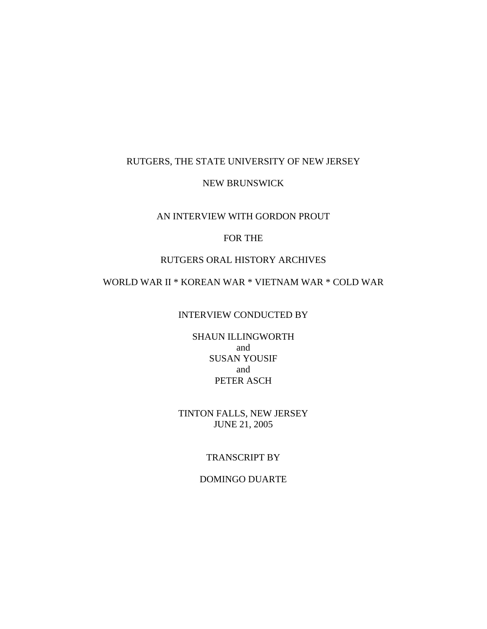## RUTGERS, THE STATE UNIVERSITY OF NEW JERSEY

### NEW BRUNSWICK

## AN INTERVIEW WITH GORDON PROUT

# FOR THE

## RUTGERS ORAL HISTORY ARCHIVES

# WORLD WAR II \* KOREAN WAR \* VIETNAM WAR \* COLD WAR

# INTERVIEW CONDUCTED BY

SHAUN ILLINGWORTH and SUSAN YOUSIF and PETER ASCH

TINTON FALLS, NEW JERSEY JUNE 21, 2005

#### TRANSCRIPT BY

DOMINGO DUARTE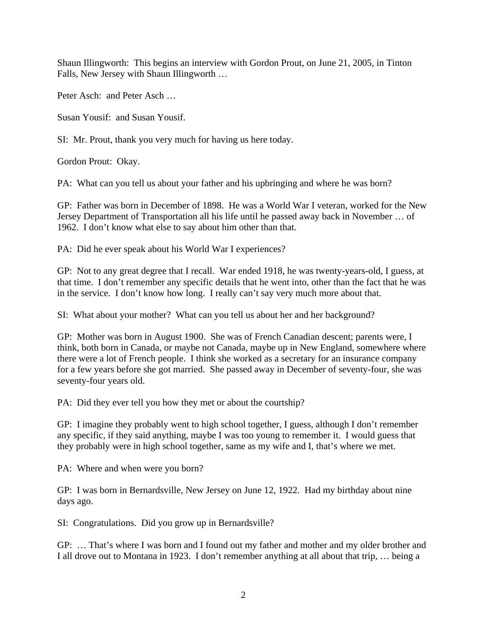Shaun Illingworth: This begins an interview with Gordon Prout, on June 21, 2005, in Tinton Falls, New Jersey with Shaun Illingworth …

Peter Asch: and Peter Asch …

Susan Yousif: and Susan Yousif.

SI: Mr. Prout, thank you very much for having us here today.

Gordon Prout: Okay.

PA: What can you tell us about your father and his upbringing and where he was born?

GP: Father was born in December of 1898. He was a World War I veteran, worked for the New Jersey Department of Transportation all his life until he passed away back in November … of 1962. I don't know what else to say about him other than that.

PA: Did he ever speak about his World War I experiences?

GP: Not to any great degree that I recall. War ended 1918, he was twenty-years-old, I guess, at that time. I don't remember any specific details that he went into, other than the fact that he was in the service. I don't know how long. I really can't say very much more about that.

SI: What about your mother? What can you tell us about her and her background?

GP: Mother was born in August 1900. She was of French Canadian descent; parents were, I think, both born in Canada, or maybe not Canada, maybe up in New England, somewhere where there were a lot of French people. I think she worked as a secretary for an insurance company for a few years before she got married. She passed away in December of seventy-four, she was seventy-four years old.

PA: Did they ever tell you how they met or about the courtship?

GP: I imagine they probably went to high school together, I guess, although I don't remember any specific, if they said anything, maybe I was too young to remember it. I would guess that they probably were in high school together, same as my wife and I, that's where we met.

PA: Where and when were you born?

GP: I was born in Bernardsville, New Jersey on June 12, 1922. Had my birthday about nine days ago.

SI: Congratulations. Did you grow up in Bernardsville?

GP: … That's where I was born and I found out my father and mother and my older brother and I all drove out to Montana in 1923. I don't remember anything at all about that trip, … being a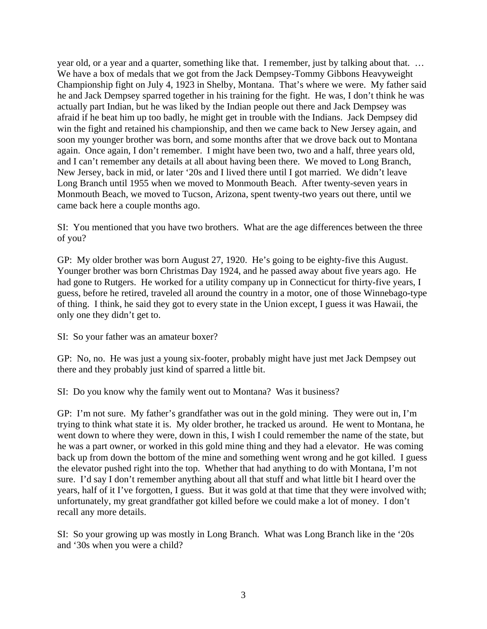year old, or a year and a quarter, something like that. I remember, just by talking about that. … We have a box of medals that we got from the Jack Dempsey-Tommy Gibbons Heavyweight Championship fight on July 4, 1923 in Shelby, Montana. That's where we were. My father said he and Jack Dempsey sparred together in his training for the fight. He was, I don't think he was actually part Indian, but he was liked by the Indian people out there and Jack Dempsey was afraid if he beat him up too badly, he might get in trouble with the Indians. Jack Dempsey did win the fight and retained his championship, and then we came back to New Jersey again, and soon my younger brother was born, and some months after that we drove back out to Montana again. Once again, I don't remember. I might have been two, two and a half, three years old, and I can't remember any details at all about having been there. We moved to Long Branch, New Jersey, back in mid, or later '20s and I lived there until I got married. We didn't leave Long Branch until 1955 when we moved to Monmouth Beach. After twenty-seven years in Monmouth Beach, we moved to Tucson, Arizona, spent twenty-two years out there, until we came back here a couple months ago.

SI: You mentioned that you have two brothers. What are the age differences between the three of you?

GP: My older brother was born August 27, 1920. He's going to be eighty-five this August. Younger brother was born Christmas Day 1924, and he passed away about five years ago. He had gone to Rutgers. He worked for a utility company up in Connecticut for thirty-five years, I guess, before he retired, traveled all around the country in a motor, one of those Winnebago-type of thing. I think, he said they got to every state in the Union except, I guess it was Hawaii, the only one they didn't get to.

SI: So your father was an amateur boxer?

GP: No, no. He was just a young six-footer, probably might have just met Jack Dempsey out there and they probably just kind of sparred a little bit.

SI: Do you know why the family went out to Montana? Was it business?

GP: I'm not sure. My father's grandfather was out in the gold mining. They were out in, I'm trying to think what state it is. My older brother, he tracked us around. He went to Montana, he went down to where they were, down in this, I wish I could remember the name of the state, but he was a part owner, or worked in this gold mine thing and they had a elevator. He was coming back up from down the bottom of the mine and something went wrong and he got killed. I guess the elevator pushed right into the top. Whether that had anything to do with Montana, I'm not sure. I'd say I don't remember anything about all that stuff and what little bit I heard over the years, half of it I've forgotten, I guess. But it was gold at that time that they were involved with; unfortunately, my great grandfather got killed before we could make a lot of money. I don't recall any more details.

SI: So your growing up was mostly in Long Branch. What was Long Branch like in the '20s and '30s when you were a child?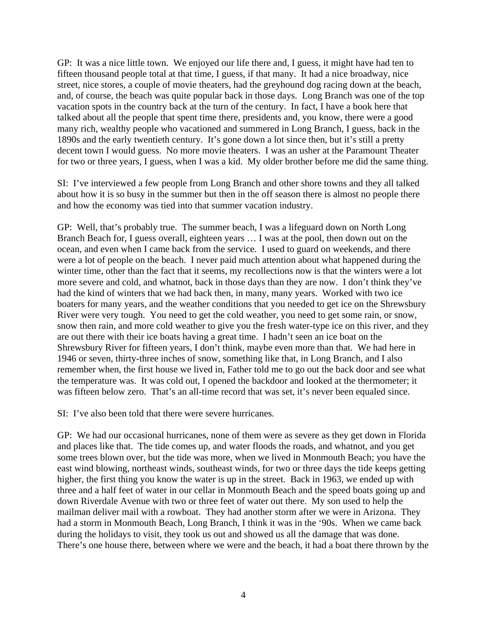GP: It was a nice little town. We enjoyed our life there and, I guess, it might have had ten to fifteen thousand people total at that time, I guess, if that many. It had a nice broadway, nice street, nice stores, a couple of movie theaters, had the greyhound dog racing down at the beach, and, of course, the beach was quite popular back in those days. Long Branch was one of the top vacation spots in the country back at the turn of the century. In fact, I have a book here that talked about all the people that spent time there, presidents and, you know, there were a good many rich, wealthy people who vacationed and summered in Long Branch, I guess, back in the 1890s and the early twentieth century. It's gone down a lot since then, but it's still a pretty decent town I would guess. No more movie theaters. I was an usher at the Paramount Theater for two or three years, I guess, when I was a kid. My older brother before me did the same thing.

SI: I've interviewed a few people from Long Branch and other shore towns and they all talked about how it is so busy in the summer but then in the off season there is almost no people there and how the economy was tied into that summer vacation industry.

GP: Well, that's probably true. The summer beach, I was a lifeguard down on North Long Branch Beach for, I guess overall, eighteen years … I was at the pool, then down out on the ocean, and even when I came back from the service. I used to guard on weekends, and there were a lot of people on the beach. I never paid much attention about what happened during the winter time, other than the fact that it seems, my recollections now is that the winters were a lot more severe and cold, and whatnot, back in those days than they are now. I don't think they've had the kind of winters that we had back then, in many, many years. Worked with two ice boaters for many years, and the weather conditions that you needed to get ice on the Shrewsbury River were very tough. You need to get the cold weather, you need to get some rain, or snow, snow then rain, and more cold weather to give you the fresh water-type ice on this river, and they are out there with their ice boats having a great time. I hadn't seen an ice boat on the Shrewsbury River for fifteen years, I don't think, maybe even more than that. We had here in 1946 or seven, thirty-three inches of snow, something like that, in Long Branch, and I also remember when, the first house we lived in, Father told me to go out the back door and see what the temperature was. It was cold out, I opened the backdoor and looked at the thermometer; it was fifteen below zero. That's an all-time record that was set, it's never been equaled since.

SI: I've also been told that there were severe hurricanes.

GP: We had our occasional hurricanes, none of them were as severe as they get down in Florida and places like that. The tide comes up, and water floods the roads, and whatnot, and you get some trees blown over, but the tide was more, when we lived in Monmouth Beach; you have the east wind blowing, northeast winds, southeast winds, for two or three days the tide keeps getting higher, the first thing you know the water is up in the street. Back in 1963, we ended up with three and a half feet of water in our cellar in Monmouth Beach and the speed boats going up and down Riverdale Avenue with two or three feet of water out there. My son used to help the mailman deliver mail with a rowboat. They had another storm after we were in Arizona. They had a storm in Monmouth Beach, Long Branch, I think it was in the '90s. When we came back during the holidays to visit, they took us out and showed us all the damage that was done. There's one house there, between where we were and the beach, it had a boat there thrown by the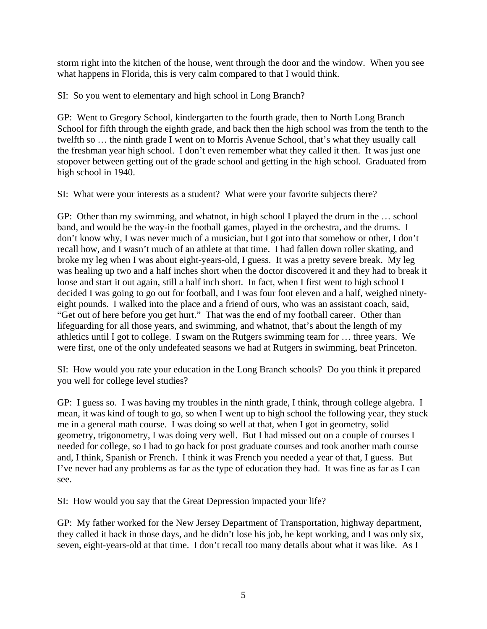storm right into the kitchen of the house, went through the door and the window. When you see what happens in Florida, this is very calm compared to that I would think.

SI: So you went to elementary and high school in Long Branch?

GP: Went to Gregory School, kindergarten to the fourth grade, then to North Long Branch School for fifth through the eighth grade, and back then the high school was from the tenth to the twelfth so … the ninth grade I went on to Morris Avenue School, that's what they usually call the freshman year high school. I don't even remember what they called it then. It was just one stopover between getting out of the grade school and getting in the high school. Graduated from high school in 1940.

SI: What were your interests as a student? What were your favorite subjects there?

GP: Other than my swimming, and whatnot, in high school I played the drum in the … school band, and would be the way-in the football games, played in the orchestra, and the drums. I don't know why, I was never much of a musician, but I got into that somehow or other, I don't recall how, and I wasn't much of an athlete at that time. I had fallen down roller skating, and broke my leg when I was about eight-years-old, I guess. It was a pretty severe break. My leg was healing up two and a half inches short when the doctor discovered it and they had to break it loose and start it out again, still a half inch short. In fact, when I first went to high school I decided I was going to go out for football, and I was four foot eleven and a half, weighed ninetyeight pounds. I walked into the place and a friend of ours, who was an assistant coach, said, "Get out of here before you get hurt." That was the end of my football career. Other than lifeguarding for all those years, and swimming, and whatnot, that's about the length of my athletics until I got to college. I swam on the Rutgers swimming team for … three years. We were first, one of the only undefeated seasons we had at Rutgers in swimming, beat Princeton.

SI: How would you rate your education in the Long Branch schools? Do you think it prepared you well for college level studies?

GP: I guess so. I was having my troubles in the ninth grade, I think, through college algebra. I mean, it was kind of tough to go, so when I went up to high school the following year, they stuck me in a general math course. I was doing so well at that, when I got in geometry, solid geometry, trigonometry, I was doing very well. But I had missed out on a couple of courses I needed for college, so I had to go back for post graduate courses and took another math course and, I think, Spanish or French. I think it was French you needed a year of that, I guess. But I've never had any problems as far as the type of education they had. It was fine as far as I can see.

SI: How would you say that the Great Depression impacted your life?

GP: My father worked for the New Jersey Department of Transportation, highway department, they called it back in those days, and he didn't lose his job, he kept working, and I was only six, seven, eight-years-old at that time. I don't recall too many details about what it was like. As I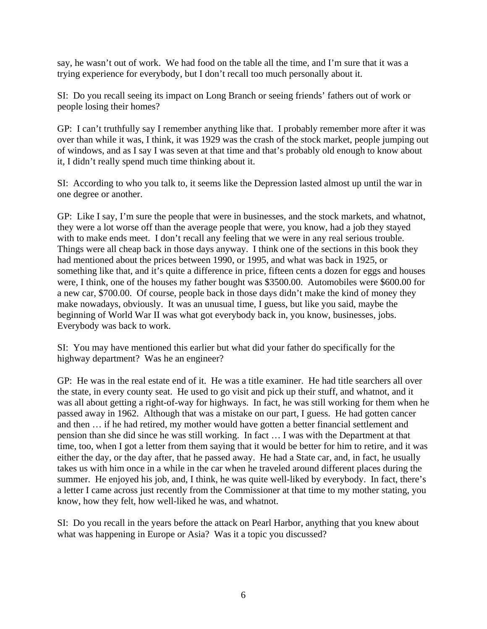say, he wasn't out of work. We had food on the table all the time, and I'm sure that it was a trying experience for everybody, but I don't recall too much personally about it.

SI: Do you recall seeing its impact on Long Branch or seeing friends' fathers out of work or people losing their homes?

GP: I can't truthfully say I remember anything like that. I probably remember more after it was over than while it was, I think, it was 1929 was the crash of the stock market, people jumping out of windows, and as I say I was seven at that time and that's probably old enough to know about it, I didn't really spend much time thinking about it.

SI: According to who you talk to, it seems like the Depression lasted almost up until the war in one degree or another.

GP: Like I say, I'm sure the people that were in businesses, and the stock markets, and whatnot, they were a lot worse off than the average people that were, you know, had a job they stayed with to make ends meet. I don't recall any feeling that we were in any real serious trouble. Things were all cheap back in those days anyway. I think one of the sections in this book they had mentioned about the prices between 1990, or 1995, and what was back in 1925, or something like that, and it's quite a difference in price, fifteen cents a dozen for eggs and houses were, I think, one of the houses my father bought was \$3500.00. Automobiles were \$600.00 for a new car, \$700.00. Of course, people back in those days didn't make the kind of money they make nowadays, obviously. It was an unusual time, I guess, but like you said, maybe the beginning of World War II was what got everybody back in, you know, businesses, jobs. Everybody was back to work.

SI: You may have mentioned this earlier but what did your father do specifically for the highway department? Was he an engineer?

GP: He was in the real estate end of it. He was a title examiner. He had title searchers all over the state, in every county seat. He used to go visit and pick up their stuff, and whatnot, and it was all about getting a right-of-way for highways. In fact, he was still working for them when he passed away in 1962. Although that was a mistake on our part, I guess. He had gotten cancer and then … if he had retired, my mother would have gotten a better financial settlement and pension than she did since he was still working. In fact … I was with the Department at that time, too, when I got a letter from them saying that it would be better for him to retire, and it was either the day, or the day after, that he passed away. He had a State car, and, in fact, he usually takes us with him once in a while in the car when he traveled around different places during the summer. He enjoyed his job, and, I think, he was quite well-liked by everybody. In fact, there's a letter I came across just recently from the Commissioner at that time to my mother stating, you know, how they felt, how well-liked he was, and whatnot.

SI: Do you recall in the years before the attack on Pearl Harbor, anything that you knew about what was happening in Europe or Asia? Was it a topic you discussed?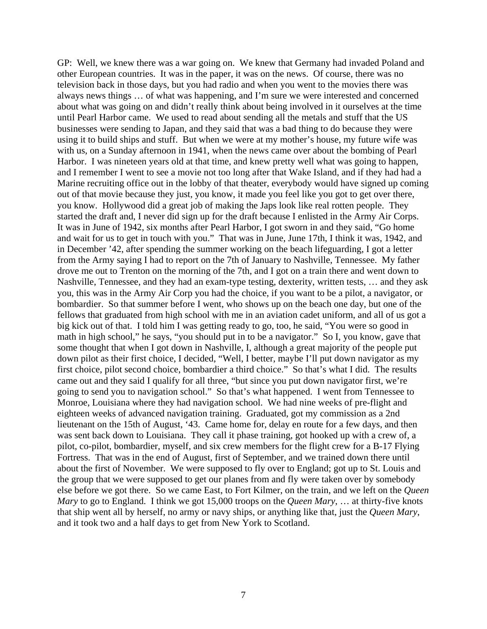GP: Well, we knew there was a war going on. We knew that Germany had invaded Poland and other European countries. It was in the paper, it was on the news. Of course, there was no television back in those days, but you had radio and when you went to the movies there was always news things … of what was happening, and I'm sure we were interested and concerned about what was going on and didn't really think about being involved in it ourselves at the time until Pearl Harbor came. We used to read about sending all the metals and stuff that the US businesses were sending to Japan, and they said that was a bad thing to do because they were using it to build ships and stuff. But when we were at my mother's house, my future wife was with us, on a Sunday afternoon in 1941, when the news came over about the bombing of Pearl Harbor. I was nineteen years old at that time, and knew pretty well what was going to happen, and I remember I went to see a movie not too long after that Wake Island, and if they had had a Marine recruiting office out in the lobby of that theater, everybody would have signed up coming out of that movie because they just, you know, it made you feel like you got to get over there, you know. Hollywood did a great job of making the Japs look like real rotten people. They started the draft and, I never did sign up for the draft because I enlisted in the Army Air Corps. It was in June of 1942, six months after Pearl Harbor, I got sworn in and they said, "Go home and wait for us to get in touch with you." That was in June, June 17th, I think it was, 1942, and in December '42, after spending the summer working on the beach lifeguarding, I got a letter from the Army saying I had to report on the 7th of January to Nashville, Tennessee. My father drove me out to Trenton on the morning of the 7th, and I got on a train there and went down to Nashville, Tennessee, and they had an exam-type testing, dexterity, written tests, … and they ask you, this was in the Army Air Corp you had the choice, if you want to be a pilot, a navigator, or bombardier. So that summer before I went, who shows up on the beach one day, but one of the fellows that graduated from high school with me in an aviation cadet uniform, and all of us got a big kick out of that. I told him I was getting ready to go, too, he said, "You were so good in math in high school," he says, "you should put in to be a navigator." So I, you know, gave that some thought that when I got down in Nashville, I, although a great majority of the people put down pilot as their first choice, I decided, "Well, I better, maybe I'll put down navigator as my first choice, pilot second choice, bombardier a third choice." So that's what I did. The results came out and they said I qualify for all three, "but since you put down navigator first, we're going to send you to navigation school." So that's what happened. I went from Tennessee to Monroe, Louisiana where they had navigation school. We had nine weeks of pre-flight and eighteen weeks of advanced navigation training. Graduated, got my commission as a 2nd lieutenant on the 15th of August, '43. Came home for, delay en route for a few days, and then was sent back down to Louisiana. They call it phase training, got hooked up with a crew of, a pilot, co-pilot, bombardier, myself, and six crew members for the flight crew for a B-17 Flying Fortress. That was in the end of August, first of September, and we trained down there until about the first of November. We were supposed to fly over to England; got up to St. Louis and the group that we were supposed to get our planes from and fly were taken over by somebody else before we got there. So we came East, to Fort Kilmer, on the train, and we left on the *Queen Mary* to go to England. I think we got 15,000 troops on the *Queen Mary*, … at thirty-five knots that ship went all by herself, no army or navy ships, or anything like that, just the *Queen Mary*, and it took two and a half days to get from New York to Scotland.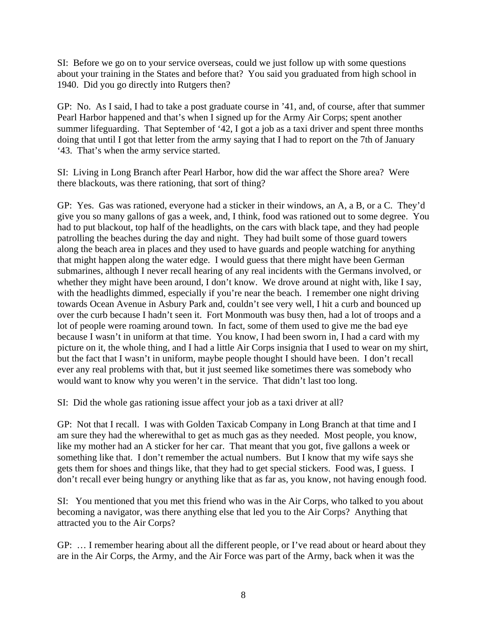SI: Before we go on to your service overseas, could we just follow up with some questions about your training in the States and before that? You said you graduated from high school in 1940. Did you go directly into Rutgers then?

GP: No. As I said, I had to take a post graduate course in '41, and, of course, after that summer Pearl Harbor happened and that's when I signed up for the Army Air Corps; spent another summer lifeguarding. That September of '42, I got a job as a taxi driver and spent three months doing that until I got that letter from the army saying that I had to report on the 7th of January '43. That's when the army service started.

SI: Living in Long Branch after Pearl Harbor, how did the war affect the Shore area? Were there blackouts, was there rationing, that sort of thing?

GP: Yes. Gas was rationed, everyone had a sticker in their windows, an A, a B, or a C. They'd give you so many gallons of gas a week, and, I think, food was rationed out to some degree. You had to put blackout, top half of the headlights, on the cars with black tape, and they had people patrolling the beaches during the day and night. They had built some of those guard towers along the beach area in places and they used to have guards and people watching for anything that might happen along the water edge. I would guess that there might have been German submarines, although I never recall hearing of any real incidents with the Germans involved, or whether they might have been around, I don't know. We drove around at night with, like I say, with the headlights dimmed, especially if you're near the beach. I remember one night driving towards Ocean Avenue in Asbury Park and, couldn't see very well, I hit a curb and bounced up over the curb because I hadn't seen it. Fort Monmouth was busy then, had a lot of troops and a lot of people were roaming around town. In fact, some of them used to give me the bad eye because I wasn't in uniform at that time. You know, I had been sworn in, I had a card with my picture on it, the whole thing, and I had a little Air Corps insignia that I used to wear on my shirt, but the fact that I wasn't in uniform, maybe people thought I should have been. I don't recall ever any real problems with that, but it just seemed like sometimes there was somebody who would want to know why you weren't in the service. That didn't last too long.

SI: Did the whole gas rationing issue affect your job as a taxi driver at all?

GP: Not that I recall. I was with Golden Taxicab Company in Long Branch at that time and I am sure they had the wherewithal to get as much gas as they needed. Most people, you know, like my mother had an A sticker for her car. That meant that you got, five gallons a week or something like that. I don't remember the actual numbers. But I know that my wife says she gets them for shoes and things like, that they had to get special stickers. Food was, I guess. I don't recall ever being hungry or anything like that as far as, you know, not having enough food.

SI: You mentioned that you met this friend who was in the Air Corps, who talked to you about becoming a navigator, was there anything else that led you to the Air Corps? Anything that attracted you to the Air Corps?

GP: … I remember hearing about all the different people, or I've read about or heard about they are in the Air Corps, the Army, and the Air Force was part of the Army, back when it was the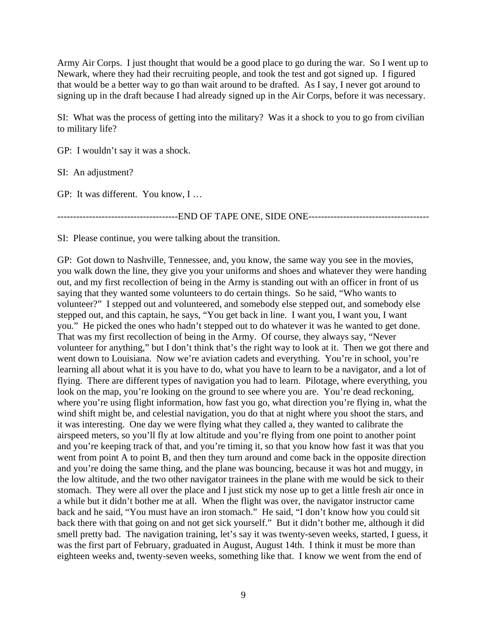Army Air Corps. I just thought that would be a good place to go during the war. So I went up to Newark, where they had their recruiting people, and took the test and got signed up. I figured that would be a better way to go than wait around to be drafted. As I say, I never got around to signing up in the draft because I had already signed up in the Air Corps, before it was necessary.

SI: What was the process of getting into the military? Was it a shock to you to go from civilian to military life?

GP: I wouldn't say it was a shock.

SI: An adjustment?

GP: It was different. You know, I …

-----------------------------END OF TAPE ONE, SIDE ONE----------------------------------

SI: Please continue, you were talking about the transition.

GP: Got down to Nashville, Tennessee, and, you know, the same way you see in the movies, you walk down the line, they give you your uniforms and shoes and whatever they were handing out, and my first recollection of being in the Army is standing out with an officer in front of us saying that they wanted some volunteers to do certain things. So he said, "Who wants to volunteer?" I stepped out and volunteered, and somebody else stepped out, and somebody else stepped out, and this captain, he says, "You get back in line. I want you, I want you, I want you." He picked the ones who hadn't stepped out to do whatever it was he wanted to get done. That was my first recollection of being in the Army. Of course, they always say, "Never volunteer for anything," but I don't think that's the right way to look at it. Then we got there and went down to Louisiana. Now we're aviation cadets and everything. You're in school, you're learning all about what it is you have to do, what you have to learn to be a navigator, and a lot of flying. There are different types of navigation you had to learn. Pilotage, where everything, you look on the map, you're looking on the ground to see where you are. You're dead reckoning, where you're using flight information, how fast you go, what direction you're flying in, what the wind shift might be, and celestial navigation, you do that at night where you shoot the stars, and it was interesting. One day we were flying what they called a, they wanted to calibrate the airspeed meters, so you'll fly at low altitude and you're flying from one point to another point and you're keeping track of that, and you're timing it, so that you know how fast it was that you went from point A to point B, and then they turn around and come back in the opposite direction and you're doing the same thing, and the plane was bouncing, because it was hot and muggy, in the low altitude, and the two other navigator trainees in the plane with me would be sick to their stomach. They were all over the place and I just stick my nose up to get a little fresh air once in a while but it didn't bother me at all. When the flight was over, the navigator instructor came back and he said, "You must have an iron stomach." He said, "I don't know how you could sit back there with that going on and not get sick yourself." But it didn't bother me, although it did smell pretty bad. The navigation training, let's say it was twenty-seven weeks, started, I guess, it was the first part of February, graduated in August, August 14th. I think it must be more than eighteen weeks and, twenty-seven weeks, something like that. I know we went from the end of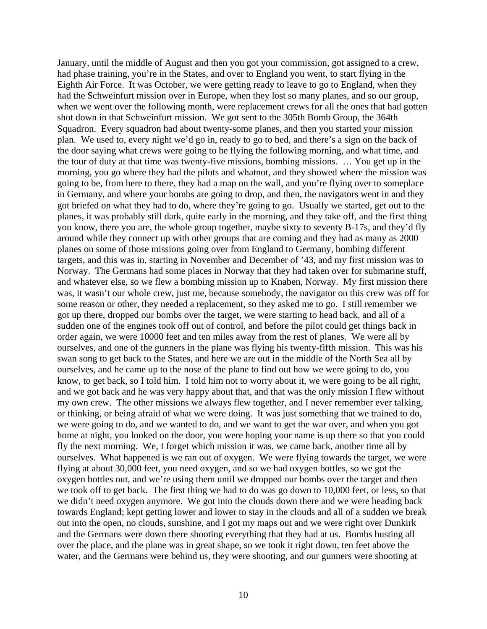January, until the middle of August and then you got your commission, got assigned to a crew, had phase training, you're in the States, and over to England you went, to start flying in the Eighth Air Force. It was October, we were getting ready to leave to go to England, when they had the Schweinfurt mission over in Europe, when they lost so many planes, and so our group, when we went over the following month, were replacement crews for all the ones that had gotten shot down in that Schweinfurt mission. We got sent to the 305th Bomb Group, the 364th Squadron. Every squadron had about twenty-some planes, and then you started your mission plan. We used to, every night we'd go in, ready to go to bed, and there's a sign on the back of the door saying what crews were going to be flying the following morning, and what time, and the tour of duty at that time was twenty-five missions, bombing missions. … You get up in the morning, you go where they had the pilots and whatnot, and they showed where the mission was going to be, from here to there, they had a map on the wall, and you're flying over to someplace in Germany, and where your bombs are going to drop, and then, the navigators went in and they got briefed on what they had to do, where they're going to go. Usually we started, get out to the planes, it was probably still dark, quite early in the morning, and they take off, and the first thing you know, there you are, the whole group together, maybe sixty to seventy B-17s, and they'd fly around while they connect up with other groups that are coming and they had as many as 2000 planes on some of those missions going over from England to Germany, bombing different targets, and this was in, starting in November and December of '43, and my first mission was to Norway. The Germans had some places in Norway that they had taken over for submarine stuff, and whatever else, so we flew a bombing mission up to Knaben, Norway. My first mission there was, it wasn't our whole crew, just me, because somebody, the navigator on this crew was off for some reason or other, they needed a replacement, so they asked me to go. I still remember we got up there, dropped our bombs over the target, we were starting to head back, and all of a sudden one of the engines took off out of control, and before the pilot could get things back in order again, we were 10000 feet and ten miles away from the rest of planes. We were all by ourselves, and one of the gunners in the plane was flying his twenty-fifth mission. This was his swan song to get back to the States, and here we are out in the middle of the North Sea all by ourselves, and he came up to the nose of the plane to find out how we were going to do, you know, to get back, so I told him. I told him not to worry about it, we were going to be all right, and we got back and he was very happy about that, and that was the only mission I flew without my own crew. The other missions we always flew together, and I never remember ever talking, or thinking, or being afraid of what we were doing. It was just something that we trained to do, we were going to do, and we wanted to do, and we want to get the war over, and when you got home at night, you looked on the door, you were hoping your name is up there so that you could fly the next morning. We, I forget which mission it was, we came back, another time all by ourselves. What happened is we ran out of oxygen. We were flying towards the target, we were flying at about 30,000 feet, you need oxygen, and so we had oxygen bottles, so we got the oxygen bottles out, and we're using them until we dropped our bombs over the target and then we took off to get back. The first thing we had to do was go down to 10,000 feet, or less, so that we didn't need oxygen anymore. We got into the clouds down there and we were heading back towards England; kept getting lower and lower to stay in the clouds and all of a sudden we break out into the open, no clouds, sunshine, and I got my maps out and we were right over Dunkirk and the Germans were down there shooting everything that they had at us. Bombs busting all over the place, and the plane was in great shape, so we took it right down, ten feet above the water, and the Germans were behind us, they were shooting, and our gunners were shooting at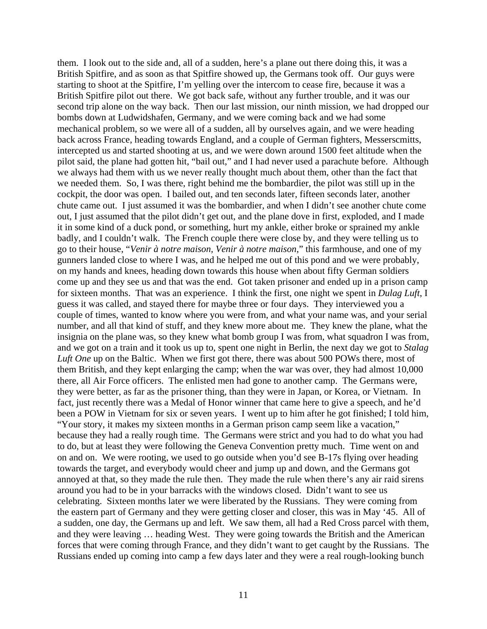them. I look out to the side and, all of a sudden, here's a plane out there doing this, it was a British Spitfire, and as soon as that Spitfire showed up, the Germans took off. Our guys were starting to shoot at the Spitfire, I'm yelling over the intercom to cease fire, because it was a British Spitfire pilot out there. We got back safe, without any further trouble, and it was our second trip alone on the way back. Then our last mission, our ninth mission, we had dropped our bombs down at Ludwidshafen, Germany, and we were coming back and we had some mechanical problem, so we were all of a sudden, all by ourselves again, and we were heading back across France, heading towards England, and a couple of German fighters, Messerscmitts, intercepted us and started shooting at us, and we were down around 1500 feet altitude when the pilot said, the plane had gotten hit, "bail out," and I had never used a parachute before. Although we always had them with us we never really thought much about them, other than the fact that we needed them. So, I was there, right behind me the bombardier, the pilot was still up in the cockpit, the door was open. I bailed out, and ten seconds later, fifteen seconds later, another chute came out. I just assumed it was the bombardier, and when I didn't see another chute come out, I just assumed that the pilot didn't get out, and the plane dove in first, exploded, and I made it in some kind of a duck pond, or something, hurt my ankle, either broke or sprained my ankle badly, and I couldn't walk. The French couple there were close by, and they were telling us to go to their house, "*Venir à notre maison, Venir à notre maison*," this farmhouse, and one of my gunners landed close to where I was, and he helped me out of this pond and we were probably, on my hands and knees, heading down towards this house when about fifty German soldiers come up and they see us and that was the end. Got taken prisoner and ended up in a prison camp for sixteen months. That was an experience. I think the first, one night we spent in *Dulag Luft*, I guess it was called, and stayed there for maybe three or four days. They interviewed you a couple of times, wanted to know where you were from, and what your name was, and your serial number, and all that kind of stuff, and they knew more about me. They knew the plane, what the insignia on the plane was, so they knew what bomb group I was from, what squadron I was from, and we got on a train and it took us up to, spent one night in Berlin, the next day we got to *Stalag Luft One* up on the Baltic. When we first got there, there was about 500 POWs there, most of them British, and they kept enlarging the camp; when the war was over, they had almost 10,000 there, all Air Force officers. The enlisted men had gone to another camp. The Germans were, they were better, as far as the prisoner thing, than they were in Japan, or Korea, or Vietnam. In fact, just recently there was a Medal of Honor winner that came here to give a speech, and he'd been a POW in Vietnam for six or seven years. I went up to him after he got finished; I told him, "Your story, it makes my sixteen months in a German prison camp seem like a vacation," because they had a really rough time. The Germans were strict and you had to do what you had to do, but at least they were following the Geneva Convention pretty much. Time went on and on and on. We were rooting, we used to go outside when you'd see B-17s flying over heading towards the target, and everybody would cheer and jump up and down, and the Germans got annoyed at that, so they made the rule then. They made the rule when there's any air raid sirens around you had to be in your barracks with the windows closed. Didn't want to see us celebrating. Sixteen months later we were liberated by the Russians. They were coming from the eastern part of Germany and they were getting closer and closer, this was in May '45. All of a sudden, one day, the Germans up and left. We saw them, all had a Red Cross parcel with them, and they were leaving … heading West. They were going towards the British and the American forces that were coming through France, and they didn't want to get caught by the Russians. The Russians ended up coming into camp a few days later and they were a real rough-looking bunch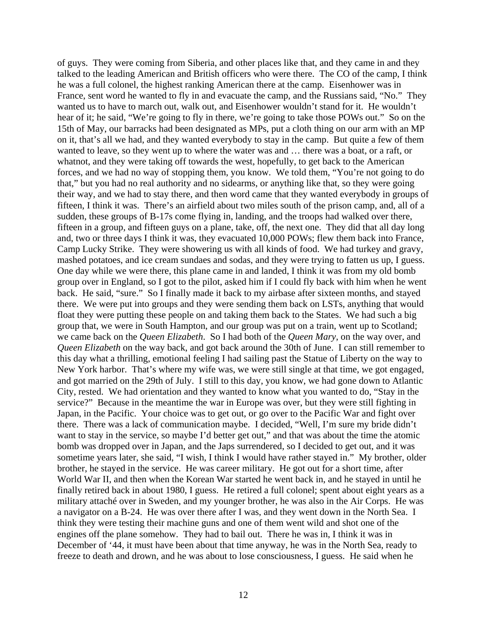of guys. They were coming from Siberia, and other places like that, and they came in and they talked to the leading American and British officers who were there. The CO of the camp, I think he was a full colonel, the highest ranking American there at the camp. Eisenhower was in France, sent word he wanted to fly in and evacuate the camp, and the Russians said, "No." They wanted us to have to march out, walk out, and Eisenhower wouldn't stand for it. He wouldn't hear of it; he said, "We're going to fly in there, we're going to take those POWs out." So on the 15th of May, our barracks had been designated as MPs, put a cloth thing on our arm with an MP on it, that's all we had, and they wanted everybody to stay in the camp. But quite a few of them wanted to leave, so they went up to where the water was and … there was a boat, or a raft, or whatnot, and they were taking off towards the west, hopefully, to get back to the American forces, and we had no way of stopping them, you know. We told them, "You're not going to do that," but you had no real authority and no sidearms, or anything like that, so they were going their way, and we had to stay there, and then word came that they wanted everybody in groups of fifteen, I think it was. There's an airfield about two miles south of the prison camp, and, all of a sudden, these groups of B-17s come flying in, landing, and the troops had walked over there, fifteen in a group, and fifteen guys on a plane, take, off, the next one. They did that all day long and, two or three days I think it was, they evacuated 10,000 POWs; flew them back into France, Camp Lucky Strike. They were showering us with all kinds of food. We had turkey and gravy, mashed potatoes, and ice cream sundaes and sodas, and they were trying to fatten us up, I guess. One day while we were there, this plane came in and landed, I think it was from my old bomb group over in England, so I got to the pilot, asked him if I could fly back with him when he went back. He said, "sure." So I finally made it back to my airbase after sixteen months, and stayed there. We were put into groups and they were sending them back on LSTs, anything that would float they were putting these people on and taking them back to the States. We had such a big group that, we were in South Hampton, and our group was put on a train, went up to Scotland; we came back on the *Queen Elizabeth*. So I had both of the *Queen Mary*, on the way over, and *Queen Elizabeth* on the way back, and got back around the 30th of June. I can still remember to this day what a thrilling, emotional feeling I had sailing past the Statue of Liberty on the way to New York harbor. That's where my wife was, we were still single at that time, we got engaged, and got married on the 29th of July. I still to this day, you know, we had gone down to Atlantic City, rested. We had orientation and they wanted to know what you wanted to do, "Stay in the service?" Because in the meantime the war in Europe was over, but they were still fighting in Japan, in the Pacific. Your choice was to get out, or go over to the Pacific War and fight over there. There was a lack of communication maybe. I decided, "Well, I'm sure my bride didn't want to stay in the service, so maybe I'd better get out," and that was about the time the atomic bomb was dropped over in Japan, and the Japs surrendered, so I decided to get out, and it was sometime years later, she said, "I wish, I think I would have rather stayed in." My brother, older brother, he stayed in the service. He was career military. He got out for a short time, after World War II, and then when the Korean War started he went back in, and he stayed in until he finally retired back in about 1980, I guess. He retired a full colonel; spent about eight years as a military attaché over in Sweden, and my younger brother, he was also in the Air Corps. He was a navigator on a B-24. He was over there after I was, and they went down in the North Sea. I think they were testing their machine guns and one of them went wild and shot one of the engines off the plane somehow. They had to bail out. There he was in, I think it was in December of '44, it must have been about that time anyway, he was in the North Sea, ready to freeze to death and drown, and he was about to lose consciousness, I guess. He said when he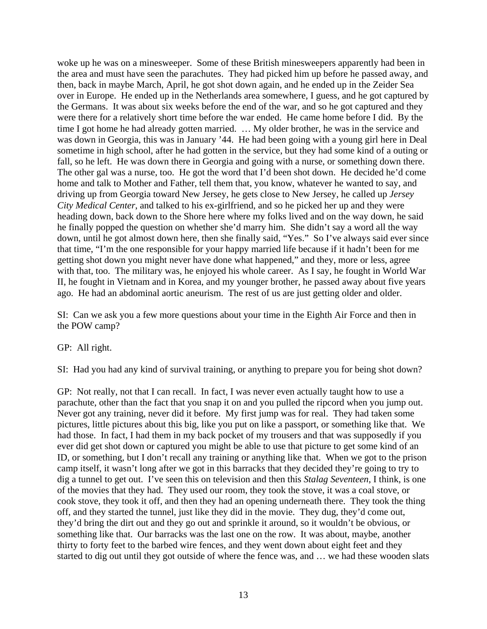woke up he was on a minesweeper. Some of these British minesweepers apparently had been in the area and must have seen the parachutes. They had picked him up before he passed away, and then, back in maybe March, April, he got shot down again, and he ended up in the Zeider Sea over in Europe. He ended up in the Netherlands area somewhere, I guess, and he got captured by the Germans. It was about six weeks before the end of the war, and so he got captured and they were there for a relatively short time before the war ended. He came home before I did. By the time I got home he had already gotten married. … My older brother, he was in the service and was down in Georgia, this was in January '44. He had been going with a young girl here in Deal sometime in high school, after he had gotten in the service, but they had some kind of a outing or fall, so he left. He was down there in Georgia and going with a nurse, or something down there. The other gal was a nurse, too. He got the word that I'd been shot down. He decided he'd come home and talk to Mother and Father, tell them that, you know, whatever he wanted to say, and driving up from Georgia toward New Jersey, he gets close to New Jersey, he called up *Jersey City Medical Center*, and talked to his ex-girlfriend, and so he picked her up and they were heading down, back down to the Shore here where my folks lived and on the way down, he said he finally popped the question on whether she'd marry him. She didn't say a word all the way down, until he got almost down here, then she finally said, "Yes." So I've always said ever since that time, "I'm the one responsible for your happy married life because if it hadn't been for me getting shot down you might never have done what happened," and they, more or less, agree with that, too. The military was, he enjoyed his whole career. As I say, he fought in World War II, he fought in Vietnam and in Korea, and my younger brother, he passed away about five years ago. He had an abdominal aortic aneurism. The rest of us are just getting older and older.

SI: Can we ask you a few more questions about your time in the Eighth Air Force and then in the POW camp?

GP: All right.

SI: Had you had any kind of survival training, or anything to prepare you for being shot down?

GP: Not really, not that I can recall. In fact, I was never even actually taught how to use a parachute, other than the fact that you snap it on and you pulled the ripcord when you jump out. Never got any training, never did it before. My first jump was for real. They had taken some pictures, little pictures about this big, like you put on like a passport, or something like that. We had those. In fact, I had them in my back pocket of my trousers and that was supposedly if you ever did get shot down or captured you might be able to use that picture to get some kind of an ID, or something, but I don't recall any training or anything like that. When we got to the prison camp itself, it wasn't long after we got in this barracks that they decided they're going to try to dig a tunnel to get out. I've seen this on television and then this *Stalag Seventeen*, I think, is one of the movies that they had. They used our room, they took the stove, it was a coal stove, or cook stove, they took it off, and then they had an opening underneath there. They took the thing off, and they started the tunnel, just like they did in the movie. They dug, they'd come out, they'd bring the dirt out and they go out and sprinkle it around, so it wouldn't be obvious, or something like that. Our barracks was the last one on the row. It was about, maybe, another thirty to forty feet to the barbed wire fences, and they went down about eight feet and they started to dig out until they got outside of where the fence was, and … we had these wooden slats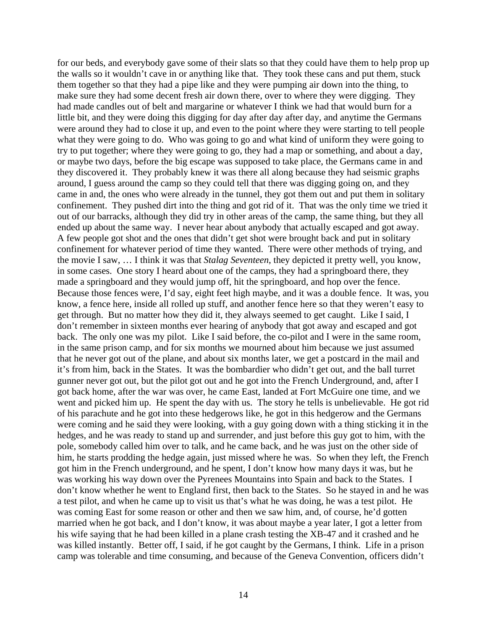for our beds, and everybody gave some of their slats so that they could have them to help prop up the walls so it wouldn't cave in or anything like that. They took these cans and put them, stuck them together so that they had a pipe like and they were pumping air down into the thing, to make sure they had some decent fresh air down there, over to where they were digging. They had made candles out of belt and margarine or whatever I think we had that would burn for a little bit, and they were doing this digging for day after day after day, and anytime the Germans were around they had to close it up, and even to the point where they were starting to tell people what they were going to do. Who was going to go and what kind of uniform they were going to try to put together; where they were going to go, they had a map or something, and about a day, or maybe two days, before the big escape was supposed to take place, the Germans came in and they discovered it. They probably knew it was there all along because they had seismic graphs around, I guess around the camp so they could tell that there was digging going on, and they came in and, the ones who were already in the tunnel, they got them out and put them in solitary confinement. They pushed dirt into the thing and got rid of it. That was the only time we tried it out of our barracks, although they did try in other areas of the camp, the same thing, but they all ended up about the same way. I never hear about anybody that actually escaped and got away. A few people got shot and the ones that didn't get shot were brought back and put in solitary confinement for whatever period of time they wanted. There were other methods of trying, and the movie I saw, … I think it was that *Stalag Seventeen*, they depicted it pretty well, you know, in some cases. One story I heard about one of the camps, they had a springboard there, they made a springboard and they would jump off, hit the springboard, and hop over the fence. Because those fences were, I'd say, eight feet high maybe, and it was a double fence. It was, you know, a fence here, inside all rolled up stuff, and another fence here so that they weren't easy to get through. But no matter how they did it, they always seemed to get caught. Like I said, I don't remember in sixteen months ever hearing of anybody that got away and escaped and got back. The only one was my pilot. Like I said before, the co-pilot and I were in the same room, in the same prison camp, and for six months we mourned about him because we just assumed that he never got out of the plane, and about six months later, we get a postcard in the mail and it's from him, back in the States. It was the bombardier who didn't get out, and the ball turret gunner never got out, but the pilot got out and he got into the French Underground, and, after I got back home, after the war was over, he came East, landed at Fort McGuire one time, and we went and picked him up. He spent the day with us. The story he tells is unbelievable. He got rid of his parachute and he got into these hedgerows like, he got in this hedgerow and the Germans were coming and he said they were looking, with a guy going down with a thing sticking it in the hedges, and he was ready to stand up and surrender, and just before this guy got to him, with the pole, somebody called him over to talk, and he came back, and he was just on the other side of him, he starts prodding the hedge again, just missed where he was. So when they left, the French got him in the French underground, and he spent, I don't know how many days it was, but he was working his way down over the Pyrenees Mountains into Spain and back to the States. I don't know whether he went to England first, then back to the States. So he stayed in and he was a test pilot, and when he came up to visit us that's what he was doing, he was a test pilot. He was coming East for some reason or other and then we saw him, and, of course, he'd gotten married when he got back, and I don't know, it was about maybe a year later, I got a letter from his wife saying that he had been killed in a plane crash testing the XB-47 and it crashed and he was killed instantly. Better off, I said, if he got caught by the Germans, I think. Life in a prison camp was tolerable and time consuming, and because of the Geneva Convention, officers didn't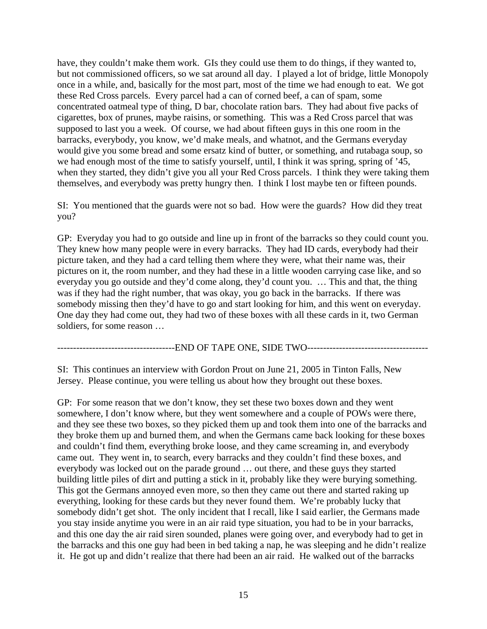have, they couldn't make them work. GIs they could use them to do things, if they wanted to, but not commissioned officers, so we sat around all day. I played a lot of bridge, little Monopoly once in a while, and, basically for the most part, most of the time we had enough to eat. We got these Red Cross parcels. Every parcel had a can of corned beef, a can of spam, some concentrated oatmeal type of thing, D bar, chocolate ration bars. They had about five packs of cigarettes, box of prunes, maybe raisins, or something. This was a Red Cross parcel that was supposed to last you a week. Of course, we had about fifteen guys in this one room in the barracks, everybody, you know, we'd make meals, and whatnot, and the Germans everyday would give you some bread and some ersatz kind of butter, or something, and rutabaga soup, so we had enough most of the time to satisfy yourself, until, I think it was spring, spring of '45, when they started, they didn't give you all your Red Cross parcels. I think they were taking them themselves, and everybody was pretty hungry then. I think I lost maybe ten or fifteen pounds.

SI: You mentioned that the guards were not so bad. How were the guards? How did they treat you?

GP: Everyday you had to go outside and line up in front of the barracks so they could count you. They knew how many people were in every barracks. They had ID cards, everybody had their picture taken, and they had a card telling them where they were, what their name was, their pictures on it, the room number, and they had these in a little wooden carrying case like, and so everyday you go outside and they'd come along, they'd count you. … This and that, the thing was if they had the right number, that was okay, you go back in the barracks. If there was somebody missing then they'd have to go and start looking for him, and this went on everyday. One day they had come out, they had two of these boxes with all these cards in it, two German soldiers, for some reason …

-------------------------------------END OF TAPE ONE, SIDE TWO--------------------------------------

SI: This continues an interview with Gordon Prout on June 21, 2005 in Tinton Falls, New Jersey. Please continue, you were telling us about how they brought out these boxes.

GP: For some reason that we don't know, they set these two boxes down and they went somewhere, I don't know where, but they went somewhere and a couple of POWs were there, and they see these two boxes, so they picked them up and took them into one of the barracks and they broke them up and burned them, and when the Germans came back looking for these boxes and couldn't find them, everything broke loose, and they came screaming in, and everybody came out. They went in, to search, every barracks and they couldn't find these boxes, and everybody was locked out on the parade ground … out there, and these guys they started building little piles of dirt and putting a stick in it, probably like they were burying something. This got the Germans annoyed even more, so then they came out there and started raking up everything, looking for these cards but they never found them. We're probably lucky that somebody didn't get shot. The only incident that I recall, like I said earlier, the Germans made you stay inside anytime you were in an air raid type situation, you had to be in your barracks, and this one day the air raid siren sounded, planes were going over, and everybody had to get in the barracks and this one guy had been in bed taking a nap, he was sleeping and he didn't realize it. He got up and didn't realize that there had been an air raid. He walked out of the barracks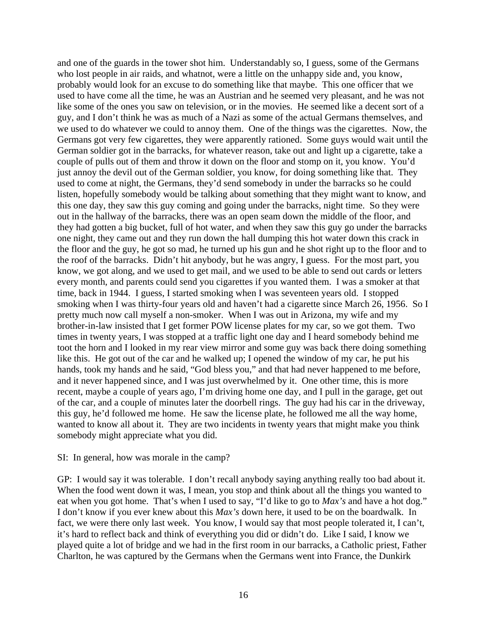and one of the guards in the tower shot him. Understandably so, I guess, some of the Germans who lost people in air raids, and whatnot, were a little on the unhappy side and, you know, probably would look for an excuse to do something like that maybe. This one officer that we used to have come all the time, he was an Austrian and he seemed very pleasant, and he was not like some of the ones you saw on television, or in the movies. He seemed like a decent sort of a guy, and I don't think he was as much of a Nazi as some of the actual Germans themselves, and we used to do whatever we could to annoy them. One of the things was the cigarettes. Now, the Germans got very few cigarettes, they were apparently rationed. Some guys would wait until the German soldier got in the barracks, for whatever reason, take out and light up a cigarette, take a couple of pulls out of them and throw it down on the floor and stomp on it, you know. You'd just annoy the devil out of the German soldier, you know, for doing something like that. They used to come at night, the Germans, they'd send somebody in under the barracks so he could listen, hopefully somebody would be talking about something that they might want to know, and this one day, they saw this guy coming and going under the barracks, night time. So they were out in the hallway of the barracks, there was an open seam down the middle of the floor, and they had gotten a big bucket, full of hot water, and when they saw this guy go under the barracks one night, they came out and they run down the hall dumping this hot water down this crack in the floor and the guy, he got so mad, he turned up his gun and he shot right up to the floor and to the roof of the barracks. Didn't hit anybody, but he was angry, I guess. For the most part, you know, we got along, and we used to get mail, and we used to be able to send out cards or letters every month, and parents could send you cigarettes if you wanted them. I was a smoker at that time, back in 1944. I guess, I started smoking when I was seventeen years old. I stopped smoking when I was thirty-four years old and haven't had a cigarette since March 26, 1956. So I pretty much now call myself a non-smoker. When I was out in Arizona, my wife and my brother-in-law insisted that I get former POW license plates for my car, so we got them. Two times in twenty years, I was stopped at a traffic light one day and I heard somebody behind me toot the horn and I looked in my rear view mirror and some guy was back there doing something like this. He got out of the car and he walked up; I opened the window of my car, he put his hands, took my hands and he said, "God bless you," and that had never happened to me before, and it never happened since, and I was just overwhelmed by it. One other time, this is more recent, maybe a couple of years ago, I'm driving home one day, and I pull in the garage, get out of the car, and a couple of minutes later the doorbell rings. The guy had his car in the driveway, this guy, he'd followed me home. He saw the license plate, he followed me all the way home, wanted to know all about it. They are two incidents in twenty years that might make you think somebody might appreciate what you did.

#### SI: In general, how was morale in the camp?

GP: I would say it was tolerable. I don't recall anybody saying anything really too bad about it. When the food went down it was, I mean, you stop and think about all the things you wanted to eat when you got home. That's when I used to say, "I'd like to go to *Max's* and have a hot dog." I don't know if you ever knew about this *Max's* down here, it used to be on the boardwalk. In fact, we were there only last week. You know, I would say that most people tolerated it, I can't, it's hard to reflect back and think of everything you did or didn't do. Like I said, I know we played quite a lot of bridge and we had in the first room in our barracks, a Catholic priest, Father Charlton, he was captured by the Germans when the Germans went into France, the Dunkirk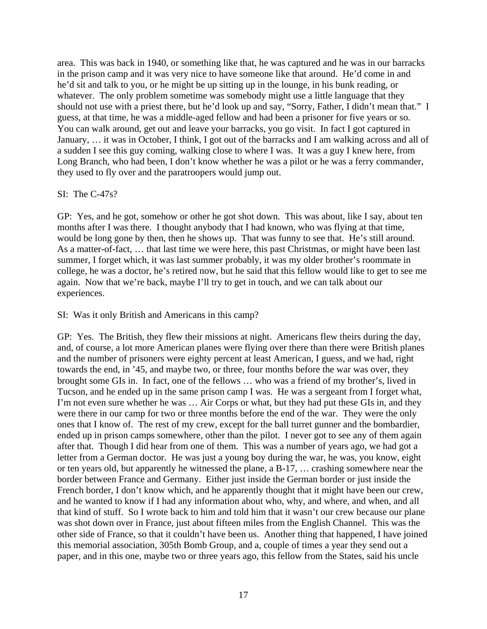area. This was back in 1940, or something like that, he was captured and he was in our barracks in the prison camp and it was very nice to have someone like that around. He'd come in and he'd sit and talk to you, or he might be up sitting up in the lounge, in his bunk reading, or whatever. The only problem sometime was somebody might use a little language that they should not use with a priest there, but he'd look up and say, "Sorry, Father, I didn't mean that." I guess, at that time, he was a middle-aged fellow and had been a prisoner for five years or so. You can walk around, get out and leave your barracks, you go visit. In fact I got captured in January, … it was in October, I think, I got out of the barracks and I am walking across and all of a sudden I see this guy coming, walking close to where I was. It was a guy I knew here, from Long Branch, who had been, I don't know whether he was a pilot or he was a ferry commander, they used to fly over and the paratroopers would jump out.

# SI: The C-47s?

GP: Yes, and he got, somehow or other he got shot down. This was about, like I say, about ten months after I was there. I thought anybody that I had known, who was flying at that time, would be long gone by then, then he shows up. That was funny to see that. He's still around. As a matter-of-fact, … that last time we were here, this past Christmas, or might have been last summer, I forget which, it was last summer probably, it was my older brother's roommate in college, he was a doctor, he's retired now, but he said that this fellow would like to get to see me again. Now that we're back, maybe I'll try to get in touch, and we can talk about our experiences.

SI: Was it only British and Americans in this camp?

GP: Yes. The British, they flew their missions at night. Americans flew theirs during the day, and, of course, a lot more American planes were flying over there than there were British planes and the number of prisoners were eighty percent at least American, I guess, and we had, right towards the end, in '45, and maybe two, or three, four months before the war was over, they brought some GIs in. In fact, one of the fellows … who was a friend of my brother's, lived in Tucson, and he ended up in the same prison camp I was. He was a sergeant from I forget what, I'm not even sure whether he was … Air Corps or what, but they had put these GIs in, and they were there in our camp for two or three months before the end of the war. They were the only ones that I know of. The rest of my crew, except for the ball turret gunner and the bombardier, ended up in prison camps somewhere, other than the pilot. I never got to see any of them again after that. Though I did hear from one of them. This was a number of years ago, we had got a letter from a German doctor. He was just a young boy during the war, he was, you know, eight or ten years old, but apparently he witnessed the plane, a B-17, … crashing somewhere near the border between France and Germany. Either just inside the German border or just inside the French border, I don't know which, and he apparently thought that it might have been our crew, and he wanted to know if I had any information about who, why, and where, and when, and all that kind of stuff. So I wrote back to him and told him that it wasn't our crew because our plane was shot down over in France, just about fifteen miles from the English Channel. This was the other side of France, so that it couldn't have been us. Another thing that happened, I have joined this memorial association, 305th Bomb Group, and a, couple of times a year they send out a paper, and in this one, maybe two or three years ago, this fellow from the States, said his uncle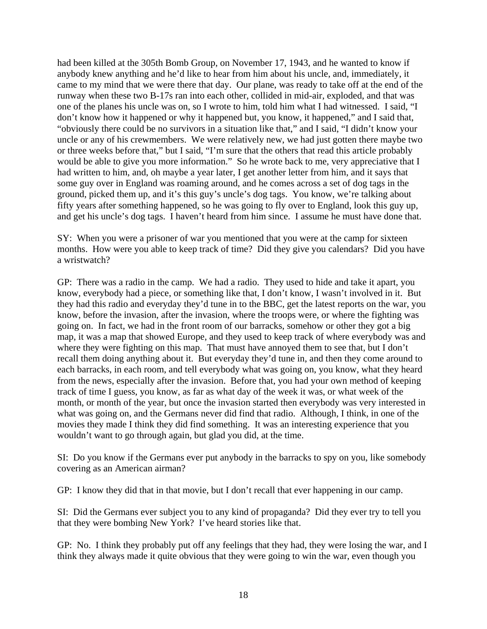had been killed at the 305th Bomb Group, on November 17, 1943, and he wanted to know if anybody knew anything and he'd like to hear from him about his uncle, and, immediately, it came to my mind that we were there that day. Our plane, was ready to take off at the end of the runway when these two B-17s ran into each other, collided in mid-air, exploded, and that was one of the planes his uncle was on, so I wrote to him, told him what I had witnessed. I said, "I don't know how it happened or why it happened but, you know, it happened," and I said that, "obviously there could be no survivors in a situation like that," and I said, "I didn't know your uncle or any of his crewmembers. We were relatively new, we had just gotten there maybe two or three weeks before that," but I said, "I'm sure that the others that read this article probably would be able to give you more information." So he wrote back to me, very appreciative that I had written to him, and, oh maybe a year later, I get another letter from him, and it says that some guy over in England was roaming around, and he comes across a set of dog tags in the ground, picked them up, and it's this guy's uncle's dog tags. You know, we're talking about fifty years after something happened, so he was going to fly over to England, look this guy up, and get his uncle's dog tags. I haven't heard from him since. I assume he must have done that.

SY: When you were a prisoner of war you mentioned that you were at the camp for sixteen months. How were you able to keep track of time? Did they give you calendars? Did you have a wristwatch?

GP: There was a radio in the camp. We had a radio. They used to hide and take it apart, you know, everybody had a piece, or something like that, I don't know, I wasn't involved in it. But they had this radio and everyday they'd tune in to the BBC, get the latest reports on the war, you know, before the invasion, after the invasion, where the troops were, or where the fighting was going on. In fact, we had in the front room of our barracks, somehow or other they got a big map, it was a map that showed Europe, and they used to keep track of where everybody was and where they were fighting on this map. That must have annoyed them to see that, but I don't recall them doing anything about it. But everyday they'd tune in, and then they come around to each barracks, in each room, and tell everybody what was going on, you know, what they heard from the news, especially after the invasion. Before that, you had your own method of keeping track of time I guess, you know, as far as what day of the week it was, or what week of the month, or month of the year, but once the invasion started then everybody was very interested in what was going on, and the Germans never did find that radio. Although, I think, in one of the movies they made I think they did find something. It was an interesting experience that you wouldn't want to go through again, but glad you did, at the time.

SI: Do you know if the Germans ever put anybody in the barracks to spy on you, like somebody covering as an American airman?

GP: I know they did that in that movie, but I don't recall that ever happening in our camp.

SI: Did the Germans ever subject you to any kind of propaganda? Did they ever try to tell you that they were bombing New York? I've heard stories like that.

GP: No. I think they probably put off any feelings that they had, they were losing the war, and I think they always made it quite obvious that they were going to win the war, even though you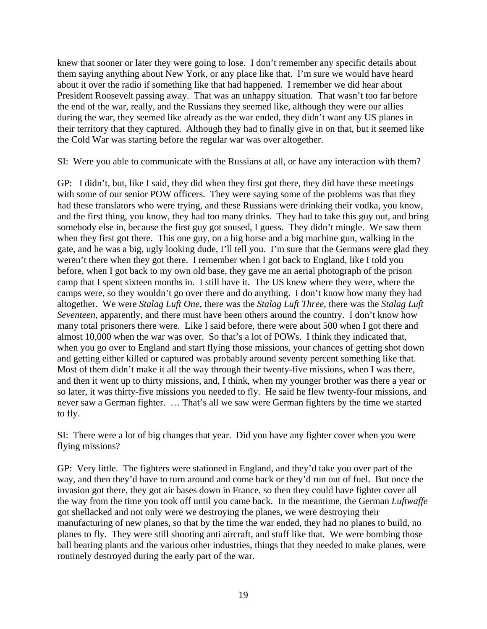knew that sooner or later they were going to lose. I don't remember any specific details about them saying anything about New York, or any place like that. I'm sure we would have heard about it over the radio if something like that had happened. I remember we did hear about President Roosevelt passing away. That was an unhappy situation. That wasn't too far before the end of the war, really, and the Russians they seemed like, although they were our allies during the war, they seemed like already as the war ended, they didn't want any US planes in their territory that they captured. Although they had to finally give in on that, but it seemed like the Cold War was starting before the regular war was over altogether.

SI: Were you able to communicate with the Russians at all, or have any interaction with them?

GP: I didn't, but, like I said, they did when they first got there, they did have these meetings with some of our senior POW officers. They were saying some of the problems was that they had these translators who were trying, and these Russians were drinking their vodka, you know, and the first thing, you know, they had too many drinks. They had to take this guy out, and bring somebody else in, because the first guy got soused, I guess. They didn't mingle. We saw them when they first got there. This one guy, on a big horse and a big machine gun, walking in the gate, and he was a big, ugly looking dude, I'll tell you. I'm sure that the Germans were glad they weren't there when they got there. I remember when I got back to England, like I told you before, when I got back to my own old base, they gave me an aerial photograph of the prison camp that I spent sixteen months in. I still have it. The US knew where they were, where the camps were, so they wouldn't go over there and do anything. I don't know how many they had altogether. We were *Stalag Luft One*, there was the *Stalag Luft Three*, there was the *Stalag Luft Seventeen*, apparently, and there must have been others around the country. I don't know how many total prisoners there were. Like I said before, there were about 500 when I got there and almost 10,000 when the war was over. So that's a lot of POWs. I think they indicated that, when you go over to England and start flying those missions, your chances of getting shot down and getting either killed or captured was probably around seventy percent something like that. Most of them didn't make it all the way through their twenty-five missions, when I was there, and then it went up to thirty missions, and, I think, when my younger brother was there a year or so later, it was thirty-five missions you needed to fly. He said he flew twenty-four missions, and never saw a German fighter. … That's all we saw were German fighters by the time we started to fly.

SI: There were a lot of big changes that year. Did you have any fighter cover when you were flying missions?

GP: Very little. The fighters were stationed in England, and they'd take you over part of the way, and then they'd have to turn around and come back or they'd run out of fuel. But once the invasion got there, they got air bases down in France, so then they could have fighter cover all the way from the time you took off until you came back. In the meantime, the German *Luftwaffe* got shellacked and not only were we destroying the planes, we were destroying their manufacturing of new planes, so that by the time the war ended, they had no planes to build, no planes to fly. They were still shooting anti aircraft, and stuff like that. We were bombing those ball bearing plants and the various other industries, things that they needed to make planes, were routinely destroyed during the early part of the war.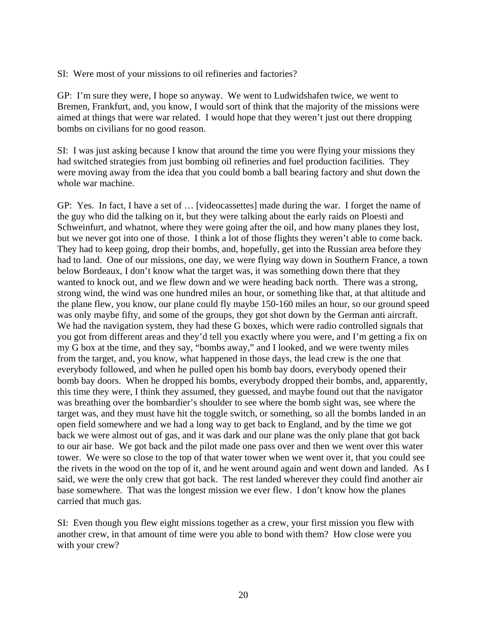SI: Were most of your missions to oil refineries and factories?

GP: I'm sure they were, I hope so anyway. We went to Ludwidshafen twice, we went to Bremen, Frankfurt, and, you know, I would sort of think that the majority of the missions were aimed at things that were war related. I would hope that they weren't just out there dropping bombs on civilians for no good reason.

SI: I was just asking because I know that around the time you were flying your missions they had switched strategies from just bombing oil refineries and fuel production facilities. They were moving away from the idea that you could bomb a ball bearing factory and shut down the whole war machine.

GP: Yes. In fact, I have a set of … [videocassettes] made during the war. I forget the name of the guy who did the talking on it, but they were talking about the early raids on Ploesti and Schweinfurt, and whatnot, where they were going after the oil, and how many planes they lost, but we never got into one of those. I think a lot of those flights they weren't able to come back. They had to keep going, drop their bombs, and, hopefully, get into the Russian area before they had to land. One of our missions, one day, we were flying way down in Southern France, a town below Bordeaux, I don't know what the target was, it was something down there that they wanted to knock out, and we flew down and we were heading back north. There was a strong, strong wind, the wind was one hundred miles an hour, or something like that, at that altitude and the plane flew, you know, our plane could fly maybe 150-160 miles an hour, so our ground speed was only maybe fifty, and some of the groups, they got shot down by the German anti aircraft. We had the navigation system, they had these G boxes, which were radio controlled signals that you got from different areas and they'd tell you exactly where you were, and I'm getting a fix on my G box at the time, and they say, "bombs away," and I looked, and we were twenty miles from the target, and, you know, what happened in those days, the lead crew is the one that everybody followed, and when he pulled open his bomb bay doors, everybody opened their bomb bay doors. When he dropped his bombs, everybody dropped their bombs, and, apparently, this time they were, I think they assumed, they guessed, and maybe found out that the navigator was breathing over the bombardier's shoulder to see where the bomb sight was, see where the target was, and they must have hit the toggle switch, or something, so all the bombs landed in an open field somewhere and we had a long way to get back to England, and by the time we got back we were almost out of gas, and it was dark and our plane was the only plane that got back to our air base. We got back and the pilot made one pass over and then we went over this water tower. We were so close to the top of that water tower when we went over it, that you could see the rivets in the wood on the top of it, and he went around again and went down and landed. As I said, we were the only crew that got back. The rest landed wherever they could find another air base somewhere. That was the longest mission we ever flew. I don't know how the planes carried that much gas.

SI: Even though you flew eight missions together as a crew, your first mission you flew with another crew, in that amount of time were you able to bond with them? How close were you with your crew?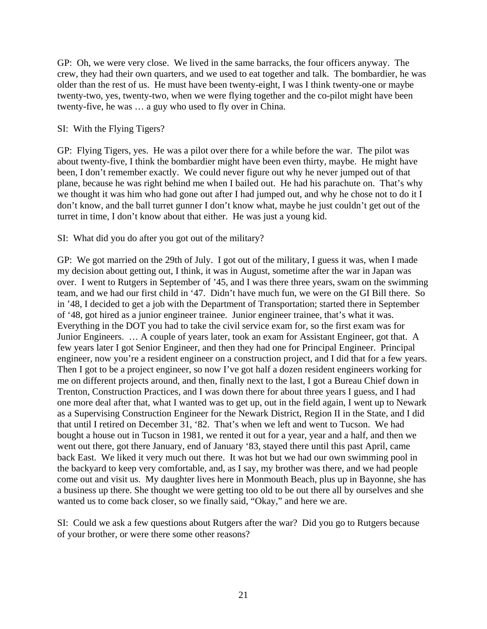GP: Oh, we were very close. We lived in the same barracks, the four officers anyway. The crew, they had their own quarters, and we used to eat together and talk. The bombardier, he was older than the rest of us. He must have been twenty-eight, I was I think twenty-one or maybe twenty-two, yes, twenty-two, when we were flying together and the co-pilot might have been twenty-five, he was … a guy who used to fly over in China.

### SI: With the Flying Tigers?

GP: Flying Tigers, yes. He was a pilot over there for a while before the war. The pilot was about twenty-five, I think the bombardier might have been even thirty, maybe. He might have been, I don't remember exactly. We could never figure out why he never jumped out of that plane, because he was right behind me when I bailed out. He had his parachute on. That's why we thought it was him who had gone out after I had jumped out, and why he chose not to do it I don't know, and the ball turret gunner I don't know what, maybe he just couldn't get out of the turret in time, I don't know about that either. He was just a young kid.

### SI: What did you do after you got out of the military?

GP: We got married on the 29th of July. I got out of the military, I guess it was, when I made my decision about getting out, I think, it was in August, sometime after the war in Japan was over. I went to Rutgers in September of '45, and I was there three years, swam on the swimming team, and we had our first child in '47. Didn't have much fun, we were on the GI Bill there. So in '48, I decided to get a job with the Department of Transportation; started there in September of '48, got hired as a junior engineer trainee. Junior engineer trainee, that's what it was. Everything in the DOT you had to take the civil service exam for, so the first exam was for Junior Engineers. … A couple of years later, took an exam for Assistant Engineer, got that. A few years later I got Senior Engineer, and then they had one for Principal Engineer. Principal engineer, now you're a resident engineer on a construction project, and I did that for a few years. Then I got to be a project engineer, so now I've got half a dozen resident engineers working for me on different projects around, and then, finally next to the last, I got a Bureau Chief down in Trenton, Construction Practices, and I was down there for about three years I guess, and I had one more deal after that, what I wanted was to get up, out in the field again, I went up to Newark as a Supervising Construction Engineer for the Newark District, Region II in the State, and I did that until I retired on December 31, '82. That's when we left and went to Tucson. We had bought a house out in Tucson in 1981, we rented it out for a year, year and a half, and then we went out there, got there January, end of January '83, stayed there until this past April, came back East. We liked it very much out there. It was hot but we had our own swimming pool in the backyard to keep very comfortable, and, as I say, my brother was there, and we had people come out and visit us. My daughter lives here in Monmouth Beach, plus up in Bayonne, she has a business up there. She thought we were getting too old to be out there all by ourselves and she wanted us to come back closer, so we finally said, "Okay," and here we are.

SI: Could we ask a few questions about Rutgers after the war? Did you go to Rutgers because of your brother, or were there some other reasons?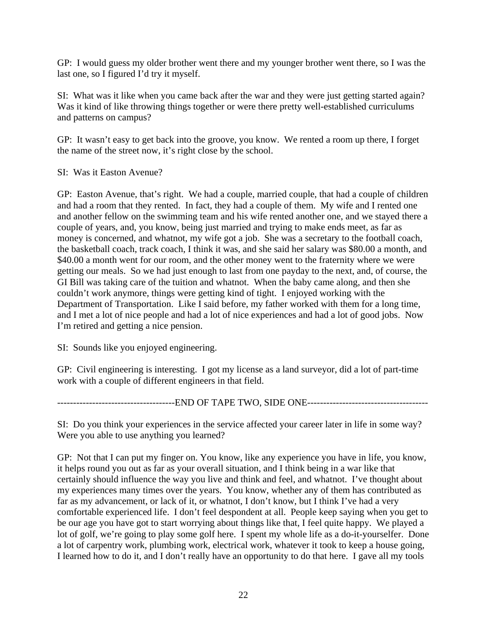GP: I would guess my older brother went there and my younger brother went there, so I was the last one, so I figured I'd try it myself.

SI: What was it like when you came back after the war and they were just getting started again? Was it kind of like throwing things together or were there pretty well-established curriculums and patterns on campus?

GP: It wasn't easy to get back into the groove, you know. We rented a room up there, I forget the name of the street now, it's right close by the school.

SI: Was it Easton Avenue?

GP: Easton Avenue, that's right. We had a couple, married couple, that had a couple of children and had a room that they rented. In fact, they had a couple of them. My wife and I rented one and another fellow on the swimming team and his wife rented another one, and we stayed there a couple of years, and, you know, being just married and trying to make ends meet, as far as money is concerned, and whatnot, my wife got a job. She was a secretary to the football coach, the basketball coach, track coach, I think it was, and she said her salary was \$80.00 a month, and \$40.00 a month went for our room, and the other money went to the fraternity where we were getting our meals. So we had just enough to last from one payday to the next, and, of course, the GI Bill was taking care of the tuition and whatnot. When the baby came along, and then she couldn't work anymore, things were getting kind of tight. I enjoyed working with the Department of Transportation. Like I said before, my father worked with them for a long time, and I met a lot of nice people and had a lot of nice experiences and had a lot of good jobs. Now I'm retired and getting a nice pension.

SI: Sounds like you enjoyed engineering.

GP: Civil engineering is interesting. I got my license as a land surveyor, did a lot of part-time work with a couple of different engineers in that field.

-------------------------------------END OF TAPE TWO, SIDE ONE--------------------------------------

SI: Do you think your experiences in the service affected your career later in life in some way? Were you able to use anything you learned?

GP: Not that I can put my finger on. You know, like any experience you have in life, you know, it helps round you out as far as your overall situation, and I think being in a war like that certainly should influence the way you live and think and feel, and whatnot. I've thought about my experiences many times over the years. You know, whether any of them has contributed as far as my advancement, or lack of it, or whatnot, I don't know, but I think I've had a very comfortable experienced life. I don't feel despondent at all. People keep saying when you get to be our age you have got to start worrying about things like that, I feel quite happy. We played a lot of golf, we're going to play some golf here. I spent my whole life as a do-it-yourselfer. Done a lot of carpentry work, plumbing work, electrical work, whatever it took to keep a house going, I learned how to do it, and I don't really have an opportunity to do that here. I gave all my tools